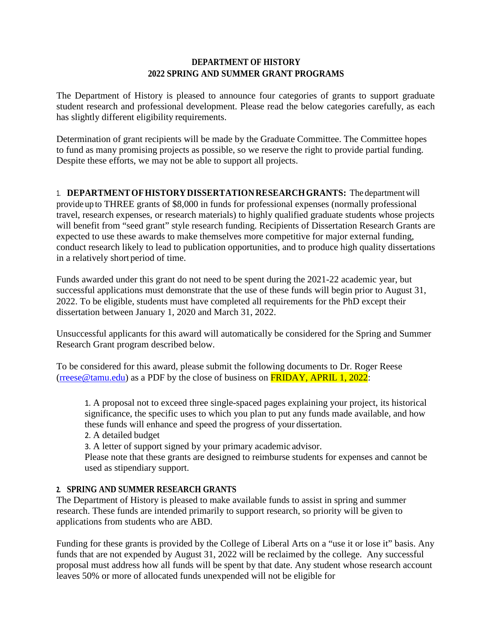## **DEPARTMENT OF HISTORY 2022 SPRING AND SUMMER GRANT PROGRAMS**

The Department of History is pleased to announce four categories of grants to support graduate student research and professional development. Please read the below categories carefully, as each has slightly different eligibility requirements.

Determination of grant recipients will be made by the Graduate Committee. The Committee hopes to fund as many promising projects as possible, so we reserve the right to provide partial funding. Despite these efforts, we may not be able to support all projects.

1. **DEPARTMENTOFHISTORYDISSERTATIONRESEARCHGRANTS:** The departmentwill provide up to THREE grants of \$8,000 in funds for professional expenses (normally professional travel, research expenses, or research materials) to highly qualified graduate students whose projects will benefit from "seed grant" style research funding. Recipients of Dissertation Research Grants are expected to use these awards to make themselves more competitive for major external funding, conduct research likely to lead to publication opportunities, and to produce high quality dissertations in a relatively short period of time.

Funds awarded under this grant do not need to be spent during the 2021-22 academic year, but successful applications must demonstrate that the use of these funds will begin prior to August 31, 2022. To be eligible, students must have completed all requirements for the PhD except their dissertation between January 1, 2020 and March 31, 2022.

Unsuccessful applicants for this award will automatically be considered for the Spring and Summer Research Grant program described below.

To be considered for this award, please submit the following documents to Dr. Roger Reese [\(rreese@tamu.edu\)](mailto:rreese@tamu.edu) as a PDF by the close of business on  $FRIDAY$ , APRIL 1, 2022:

1. A proposal not to exceed three single-spaced pages explaining your project, its historical significance, the specific uses to which you plan to put any funds made available, and how these funds will enhance and speed the progress of your dissertation.

2. A detailed budget

3. A letter of support signed by your primary academic advisor.

Please note that these grants are designed to reimburse students for expenses and cannot be used as stipendiary support.

## **2. SPRING AND SUMMER RESEARCH GRANTS**

The Department of History is pleased to make available funds to assist in spring and summer research. These funds are intended primarily to support research, so priority will be given to applications from students who are ABD.

Funding for these grants is provided by the College of Liberal Arts on a "use it or lose it" basis. Any funds that are not expended by August 31, 2022 will be reclaimed by the college. Any successful proposal must address how all funds will be spent by that date. Any student whose research account leaves 50% or more of allocated funds unexpended will not be eligible for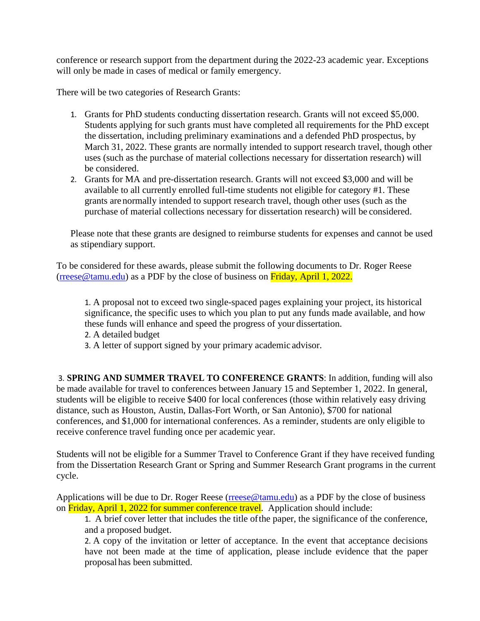conference or research support from the department during the 2022-23 academic year. Exceptions will only be made in cases of medical or family emergency.

There will be two categories of Research Grants:

- 1. Grants for PhD students conducting dissertation research. Grants will not exceed \$5,000. Students applying for such grants must have completed all requirements for the PhD except the dissertation, including preliminary examinations and a defended PhD prospectus, by March 31, 2022. These grants are normally intended to support research travel, though other uses (such as the purchase of material collections necessary for dissertation research) will be considered.
- 2. Grants for MA and pre-dissertation research. Grants will not exceed \$3,000 and will be available to all currently enrolled full-time students not eligible for category #1. These grants are normally intended to support research travel, though other uses (such as the purchase of material collections necessary for dissertation research) will be considered.

Please note that these grants are designed to reimburse students for expenses and cannot be used as stipendiary support.

To be considered for these awards, please submit the following documents to Dr. Roger Reese [\(rreese@tamu.edu\)](mailto:rreese@tamu.edu) as a PDF by the close of business on Friday, April 1, 2022.

1. A proposal not to exceed two single-spaced pages explaining your project, its historical significance, the specific uses to which you plan to put any funds made available, and how these funds will enhance and speed the progress of your dissertation.

2. A detailed budget

3. A letter of support signed by your primary academic advisor.

3. **SPRING AND SUMMER TRAVEL TO CONFERENCE GRANTS**: In addition, funding will also be made available for travel to conferences between January 15 and September 1, 2022. In general, students will be eligible to receive \$400 for local conferences (those within relatively easy driving distance, such as Houston, Austin, Dallas-Fort Worth, or San Antonio), \$700 for national conferences, and \$1,000 for international conferences. As a reminder, students are only eligible to receive conference travel funding once per academic year.

Students will not be eligible for a Summer Travel to Conference Grant if they have received funding from the Dissertation Research Grant or Spring and Summer Research Grant programs in the current cycle.

Applications will be due to Dr. Roger Reese ( $rreese@tamu.edu$ ) as a PDF by the close of business on Friday, April 1, 2022 for summer conference travel. Application should include:

1. A brief cover letter that includes the title ofthe paper, the significance of the conference, and a proposed budget.

2. A copy of the invitation or letter of acceptance. In the event that acceptance decisions have not been made at the time of application, please include evidence that the paper proposal has been submitted.